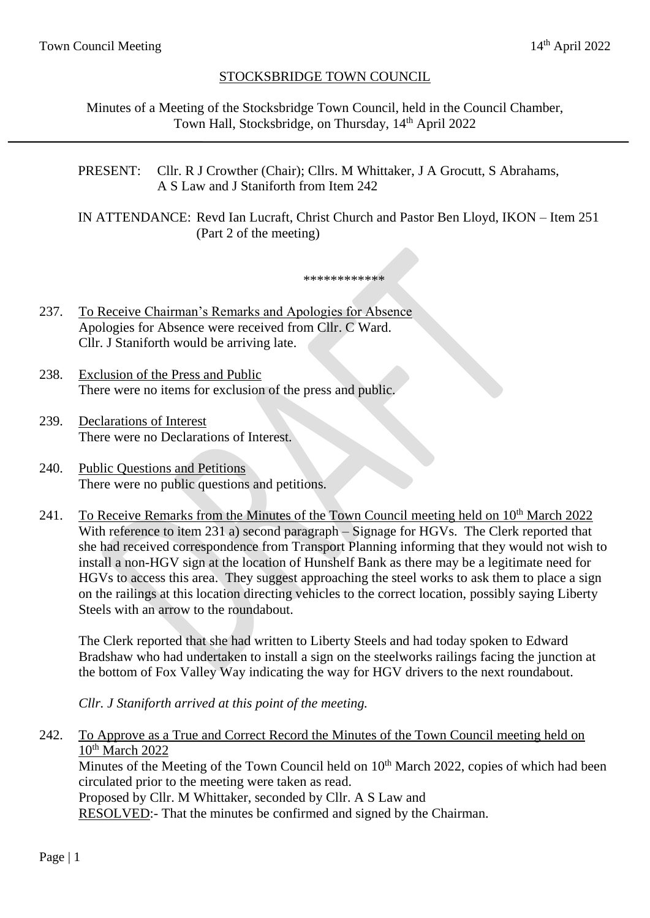# STOCKSBRIDGE TOWN COUNCIL

Minutes of a Meeting of the Stocksbridge Town Council, held in the Council Chamber, Town Hall, Stocksbridge, on Thursday, 14<sup>th</sup> April 2022

PRESENT: Cllr. R J Crowther (Chair); Cllrs. M Whittaker, J A Grocutt, S Abrahams, A S Law and J Staniforth from Item 242

IN ATTENDANCE: Revd Ian Lucraft, Christ Church and Pastor Ben Lloyd, IKON – Item 251 (Part 2 of the meeting)

\*\*\*\*\*\*\*\*\*\*\*\*

237. To Receive Chairman's Remarks and Apologies for Absence Apologies for Absence were received from Cllr. C Ward. Cllr. J Staniforth would be arriving late.

- 238. Exclusion of the Press and Public There were no items for exclusion of the press and public.
- 239. Declarations of Interest There were no Declarations of Interest.
- 240. Public Questions and Petitions There were no public questions and petitions.
- 241. To Receive Remarks from the Minutes of the Town Council meeting held on 10<sup>th</sup> March 2022 With reference to item 231 a) second paragraph – Signage for HGVs. The Clerk reported that she had received correspondence from Transport Planning informing that they would not wish to install a non-HGV sign at the location of Hunshelf Bank as there may be a legitimate need for HGVs to access this area. They suggest approaching the steel works to ask them to place a sign on the railings at this location directing vehicles to the correct location, possibly saying Liberty Steels with an arrow to the roundabout.

The Clerk reported that she had written to Liberty Steels and had today spoken to Edward Bradshaw who had undertaken to install a sign on the steelworks railings facing the junction at the bottom of Fox Valley Way indicating the way for HGV drivers to the next roundabout.

*Cllr. J Staniforth arrived at this point of the meeting.*

242. To Approve as a True and Correct Record the Minutes of the Town Council meeting held on 10<sup>th</sup> March 2022

Minutes of the Meeting of the Town Council held on 10<sup>th</sup> March 2022, copies of which had been circulated prior to the meeting were taken as read.

Proposed by Cllr. M Whittaker, seconded by Cllr. A S Law and

RESOLVED:- That the minutes be confirmed and signed by the Chairman.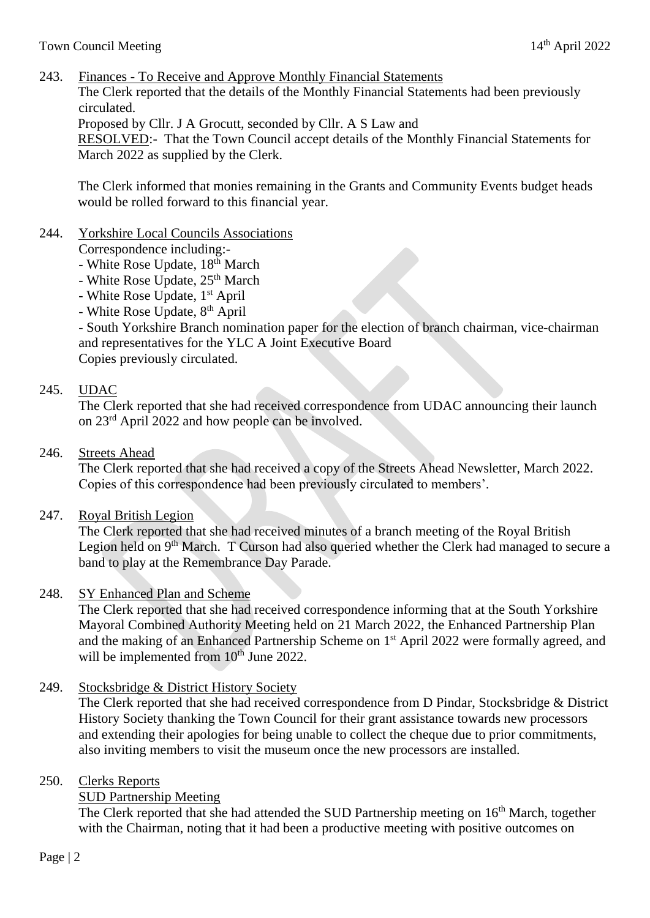243. Finances - To Receive and Approve Monthly Financial Statements

The Clerk reported that the details of the Monthly Financial Statements had been previously circulated.

Proposed by Cllr. J A Grocutt, seconded by Cllr. A S Law and

RESOLVED:- That the Town Council accept details of the Monthly Financial Statements for March 2022 as supplied by the Clerk.

The Clerk informed that monies remaining in the Grants and Community Events budget heads would be rolled forward to this financial year.

## 244. Yorkshire Local Councils Associations

Correspondence including:-

- White Rose Update, 18<sup>th</sup> March
- White Rose Update,  $25<sup>th</sup>$  March
- White Rose Update, 1<sup>st</sup> April
- White Rose Update, 8<sup>th</sup> April

- South Yorkshire Branch nomination paper for the election of branch chairman, vice-chairman and representatives for the YLC A Joint Executive Board Copies previously circulated.

## 245. UDAC

The Clerk reported that she had received correspondence from UDAC announcing their launch on 23rd April 2022 and how people can be involved.

### 246. Streets Ahead

The Clerk reported that she had received a copy of the Streets Ahead Newsletter, March 2022. Copies of this correspondence had been previously circulated to members'.

247. Royal British Legion

The Clerk reported that she had received minutes of a branch meeting of the Royal British Legion held on 9<sup>th</sup> March. T Curson had also queried whether the Clerk had managed to secure a band to play at the Remembrance Day Parade.

#### 248. SY Enhanced Plan and Scheme

The Clerk reported that she had received correspondence informing that at the South Yorkshire Mayoral Combined Authority Meeting held on 21 March 2022, the Enhanced Partnership Plan and the making of an Enhanced Partnership Scheme on 1<sup>st</sup> April 2022 were formally agreed, and will be implemented from  $10<sup>th</sup>$  June 2022.

249. Stocksbridge & District History Society

The Clerk reported that she had received correspondence from D Pindar, Stocksbridge & District History Society thanking the Town Council for their grant assistance towards new processors and extending their apologies for being unable to collect the cheque due to prior commitments, also inviting members to visit the museum once the new processors are installed.

# 250. Clerks Reports

SUD Partnership Meeting

The Clerk reported that she had attended the SUD Partnership meeting on 16<sup>th</sup> March, together with the Chairman, noting that it had been a productive meeting with positive outcomes on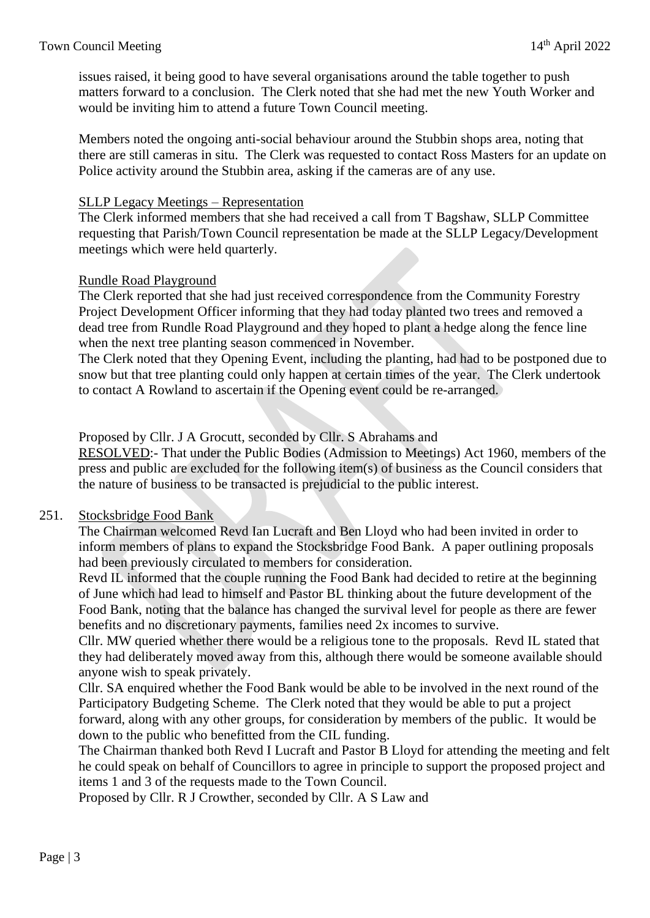issues raised, it being good to have several organisations around the table together to push matters forward to a conclusion. The Clerk noted that she had met the new Youth Worker and would be inviting him to attend a future Town Council meeting.

Members noted the ongoing anti-social behaviour around the Stubbin shops area, noting that there are still cameras in situ. The Clerk was requested to contact Ross Masters for an update on Police activity around the Stubbin area, asking if the cameras are of any use.

#### SLLP Legacy Meetings – Representation

The Clerk informed members that she had received a call from T Bagshaw, SLLP Committee requesting that Parish/Town Council representation be made at the SLLP Legacy/Development meetings which were held quarterly.

## Rundle Road Playground

The Clerk reported that she had just received correspondence from the Community Forestry Project Development Officer informing that they had today planted two trees and removed a dead tree from Rundle Road Playground and they hoped to plant a hedge along the fence line when the next tree planting season commenced in November.

The Clerk noted that they Opening Event, including the planting, had had to be postponed due to snow but that tree planting could only happen at certain times of the year. The Clerk undertook to contact A Rowland to ascertain if the Opening event could be re-arranged.

Proposed by Cllr. J A Grocutt, seconded by Cllr. S Abrahams and

RESOLVED:- That under the Public Bodies (Admission to Meetings) Act 1960, members of the press and public are excluded for the following item(s) of business as the Council considers that the nature of business to be transacted is prejudicial to the public interest.

# 251. Stocksbridge Food Bank

The Chairman welcomed Revd Ian Lucraft and Ben Lloyd who had been invited in order to inform members of plans to expand the Stocksbridge Food Bank. A paper outlining proposals had been previously circulated to members for consideration.

Revd IL informed that the couple running the Food Bank had decided to retire at the beginning of June which had lead to himself and Pastor BL thinking about the future development of the Food Bank, noting that the balance has changed the survival level for people as there are fewer benefits and no discretionary payments, families need 2x incomes to survive.

Cllr. MW queried whether there would be a religious tone to the proposals. Revd IL stated that they had deliberately moved away from this, although there would be someone available should anyone wish to speak privately.

Cllr. SA enquired whether the Food Bank would be able to be involved in the next round of the Participatory Budgeting Scheme. The Clerk noted that they would be able to put a project forward, along with any other groups, for consideration by members of the public. It would be down to the public who benefitted from the CIL funding.

The Chairman thanked both Revd I Lucraft and Pastor B Lloyd for attending the meeting and felt he could speak on behalf of Councillors to agree in principle to support the proposed project and items 1 and 3 of the requests made to the Town Council.

Proposed by Cllr. R J Crowther, seconded by Cllr. A S Law and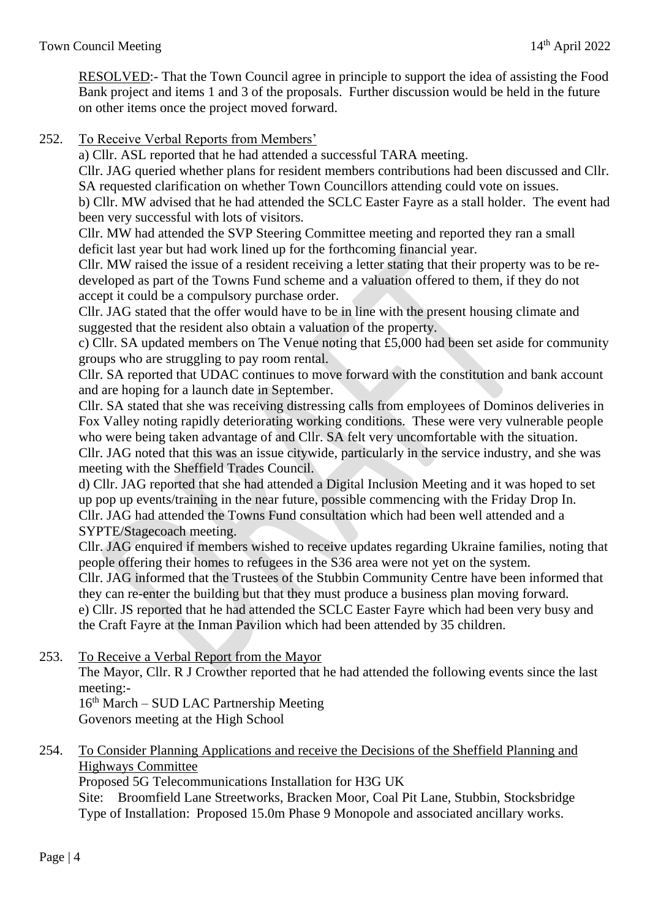RESOLVED:- That the Town Council agree in principle to support the idea of assisting the Food Bank project and items 1 and 3 of the proposals. Further discussion would be held in the future on other items once the project moved forward.

#### 252. To Receive Verbal Reports from Members'

a) Cllr. ASL reported that he had attended a successful TARA meeting.

Cllr. JAG queried whether plans for resident members contributions had been discussed and Cllr. SA requested clarification on whether Town Councillors attending could vote on issues.

b) Cllr. MW advised that he had attended the SCLC Easter Fayre as a stall holder. The event had been very successful with lots of visitors.

Cllr. MW had attended the SVP Steering Committee meeting and reported they ran a small deficit last year but had work lined up for the forthcoming financial year.

Cllr. MW raised the issue of a resident receiving a letter stating that their property was to be redeveloped as part of the Towns Fund scheme and a valuation offered to them, if they do not accept it could be a compulsory purchase order.

Cllr. JAG stated that the offer would have to be in line with the present housing climate and suggested that the resident also obtain a valuation of the property.

c) Cllr. SA updated members on The Venue noting that £5,000 had been set aside for community groups who are struggling to pay room rental.

Cllr. SA reported that UDAC continues to move forward with the constitution and bank account and are hoping for a launch date in September.

Cllr. SA stated that she was receiving distressing calls from employees of Dominos deliveries in Fox Valley noting rapidly deteriorating working conditions. These were very vulnerable people who were being taken advantage of and Cllr. SA felt very uncomfortable with the situation. Cllr. JAG noted that this was an issue citywide, particularly in the service industry, and she was meeting with the Sheffield Trades Council.

d) Cllr. JAG reported that she had attended a Digital Inclusion Meeting and it was hoped to set up pop up events/training in the near future, possible commencing with the Friday Drop In. Cllr. JAG had attended the Towns Fund consultation which had been well attended and a SYPTE/Stagecoach meeting.

Cllr. JAG enquired if members wished to receive updates regarding Ukraine families, noting that people offering their homes to refugees in the S36 area were not yet on the system.

Cllr. JAG informed that the Trustees of the Stubbin Community Centre have been informed that they can re-enter the building but that they must produce a business plan moving forward. e) Cllr. JS reported that he had attended the SCLC Easter Fayre which had been very busy and the Craft Fayre at the Inman Pavilion which had been attended by 35 children.

253. To Receive a Verbal Report from the Mayor

The Mayor, Cllr. R J Crowther reported that he had attended the following events since the last meeting:-

16th March – SUD LAC Partnership Meeting Govenors meeting at the High School

254. To Consider Planning Applications and receive the Decisions of the Sheffield Planning and Highways Committee

Proposed 5G Telecommunications Installation for H3G UK

Site: Broomfield Lane Streetworks, Bracken Moor, Coal Pit Lane, Stubbin, Stocksbridge Type of Installation: Proposed 15.0m Phase 9 Monopole and associated ancillary works.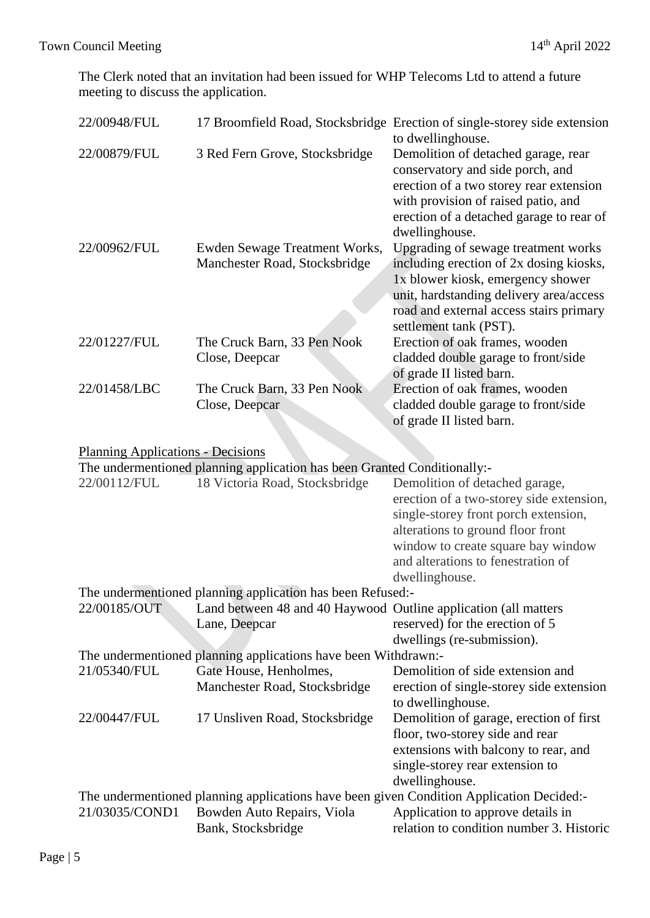The Clerk noted that an invitation had been issued for WHP Telecoms Ltd to attend a future meeting to discuss the application.

| 22/00948/FUL                                                                                                                                  |                                                                          | 17 Broomfield Road, Stocksbridge Erection of single-storey side extension   |  |  |  |
|-----------------------------------------------------------------------------------------------------------------------------------------------|--------------------------------------------------------------------------|-----------------------------------------------------------------------------|--|--|--|
|                                                                                                                                               |                                                                          | to dwellinghouse.                                                           |  |  |  |
| 22/00879/FUL                                                                                                                                  | 3 Red Fern Grove, Stocksbridge                                           | Demolition of detached garage, rear                                         |  |  |  |
|                                                                                                                                               |                                                                          | conservatory and side porch, and<br>erection of a two storey rear extension |  |  |  |
|                                                                                                                                               |                                                                          | with provision of raised patio, and                                         |  |  |  |
|                                                                                                                                               |                                                                          | erection of a detached garage to rear of                                    |  |  |  |
|                                                                                                                                               |                                                                          | dwellinghouse.                                                              |  |  |  |
| 22/00962/FUL                                                                                                                                  | Ewden Sewage Treatment Works,                                            | Upgrading of sewage treatment works                                         |  |  |  |
|                                                                                                                                               | Manchester Road, Stocksbridge                                            | including erection of 2x dosing kiosks,                                     |  |  |  |
|                                                                                                                                               |                                                                          | 1x blower kiosk, emergency shower                                           |  |  |  |
|                                                                                                                                               |                                                                          | unit, hardstanding delivery area/access                                     |  |  |  |
|                                                                                                                                               |                                                                          | road and external access stairs primary                                     |  |  |  |
|                                                                                                                                               |                                                                          | settlement tank (PST).                                                      |  |  |  |
| 22/01227/FUL                                                                                                                                  | The Cruck Barn, 33 Pen Nook                                              | Erection of oak frames, wooden                                              |  |  |  |
|                                                                                                                                               | Close, Deepcar                                                           | cladded double garage to front/side                                         |  |  |  |
| 22/01458/LBC                                                                                                                                  |                                                                          | of grade II listed barn.                                                    |  |  |  |
|                                                                                                                                               | The Cruck Barn, 33 Pen Nook<br>Close, Deepcar                            | Erection of oak frames, wooden<br>cladded double garage to front/side       |  |  |  |
|                                                                                                                                               |                                                                          | of grade II listed barn.                                                    |  |  |  |
|                                                                                                                                               |                                                                          |                                                                             |  |  |  |
| <b>Planning Applications - Decisions</b>                                                                                                      |                                                                          |                                                                             |  |  |  |
|                                                                                                                                               | The undermentioned planning application has been Granted Conditionally:- |                                                                             |  |  |  |
| 22/00112/FUL                                                                                                                                  | 18 Victoria Road, Stocksbridge                                           | Demolition of detached garage,                                              |  |  |  |
|                                                                                                                                               |                                                                          | erection of a two-storey side extension,                                    |  |  |  |
|                                                                                                                                               |                                                                          | single-storey front porch extension,                                        |  |  |  |
|                                                                                                                                               |                                                                          | alterations to ground floor front                                           |  |  |  |
|                                                                                                                                               |                                                                          | window to create square bay window                                          |  |  |  |
|                                                                                                                                               |                                                                          | and alterations to fenestration of                                          |  |  |  |
|                                                                                                                                               |                                                                          | dwellinghouse.                                                              |  |  |  |
| The undermentioned planning application has been Refused:-<br>22/00185/OUT<br>Land between 48 and 40 Haywood Outline application (all matters |                                                                          |                                                                             |  |  |  |
|                                                                                                                                               | Lane, Deepcar                                                            | reserved) for the erection of 5                                             |  |  |  |
|                                                                                                                                               |                                                                          | dwellings (re-submission).                                                  |  |  |  |
|                                                                                                                                               | The undermentioned planning applications have been Withdrawn:            |                                                                             |  |  |  |
| 21/05340/FUL                                                                                                                                  | Gate House, Henholmes,                                                   | Demolition of side extension and                                            |  |  |  |
|                                                                                                                                               | Manchester Road, Stocksbridge                                            | erection of single-storey side extension                                    |  |  |  |
|                                                                                                                                               |                                                                          | to dwellinghouse.                                                           |  |  |  |
| 22/00447/FUL                                                                                                                                  | 17 Unsliven Road, Stocksbridge                                           | Demolition of garage, erection of first                                     |  |  |  |
|                                                                                                                                               |                                                                          | floor, two-storey side and rear                                             |  |  |  |
|                                                                                                                                               |                                                                          | extensions with balcony to rear, and                                        |  |  |  |
|                                                                                                                                               |                                                                          | single-storey rear extension to                                             |  |  |  |

dwellinghouse. The undermentioned planning applications have been given Condition Application Decided:-<br>21/03035/COND1 Bowden Auto Repairs, Viola Application to approve details in 21/03035/COND1 Bowden Auto Repairs, Viola Application to approve details in<br>Bank, Stocksbridge relation to condition number 3. H relation to condition number 3. Historic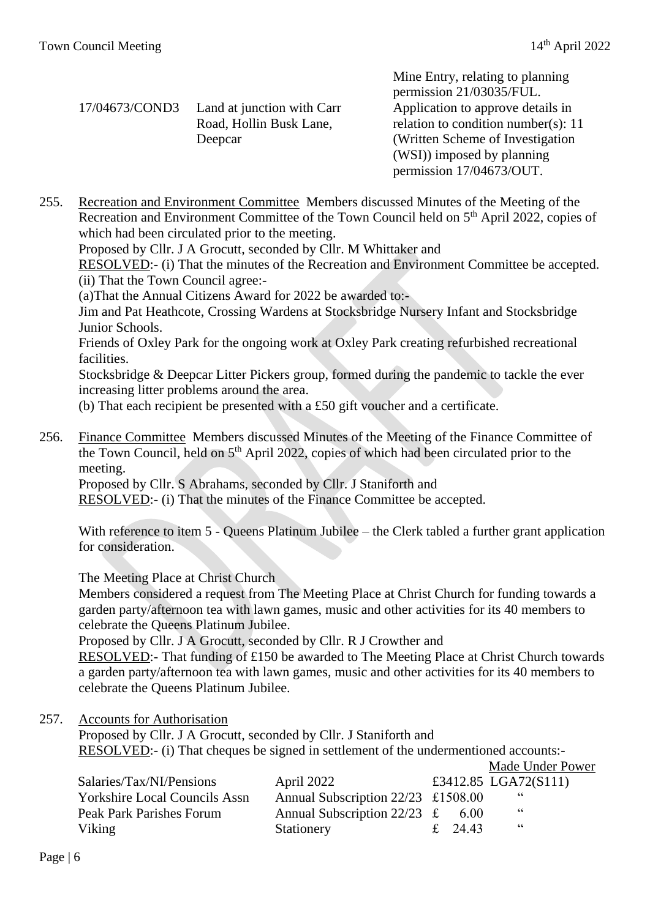Mine Entry, relating to planning

|                                           | permission 21/03035/FUL.              |
|-------------------------------------------|---------------------------------------|
| 17/04673/COND3 Land at junction with Carr | Application to approve details in     |
| Road, Hollin Busk Lane,                   | relation to condition number(s): $11$ |
| Deepcar                                   | (Written Scheme of Investigation)     |
|                                           | (WSI) imposed by planning             |
|                                           | permission 17/04673/OUT.              |

255. Recreation and Environment Committee Members discussed Minutes of the Meeting of the Recreation and Environment Committee of the Town Council held on 5<sup>th</sup> April 2022, copies of which had been circulated prior to the meeting.

Proposed by Cllr. J A Grocutt, seconded by Cllr. M Whittaker and

RESOLVED:- (i) That the minutes of the Recreation and Environment Committee be accepted. (ii) That the Town Council agree:-

(a)That the Annual Citizens Award for 2022 be awarded to:-

Jim and Pat Heathcote, Crossing Wardens at Stocksbridge Nursery Infant and Stocksbridge Junior Schools.

Friends of Oxley Park for the ongoing work at Oxley Park creating refurbished recreational facilities.

Stocksbridge & Deepcar Litter Pickers group, formed during the pandemic to tackle the ever increasing litter problems around the area.

(b) That each recipient be presented with a £50 gift voucher and a certificate.

256. Finance Committee Members discussed Minutes of the Meeting of the Finance Committee of the Town Council, held on  $5<sup>th</sup>$  April 2022, copies of which had been circulated prior to the meeting.

Proposed by Cllr. S Abrahams, seconded by Cllr. J Staniforth and

RESOLVED:- (i) That the minutes of the Finance Committee be accepted.

With reference to item 5 - Queens Platinum Jubilee – the Clerk tabled a further grant application for consideration.

The Meeting Place at Christ Church

Members considered a request from The Meeting Place at Christ Church for funding towards a garden party/afternoon tea with lawn games, music and other activities for its 40 members to celebrate the Queens Platinum Jubilee.

Proposed by Cllr. J A Grocutt, seconded by Cllr. R J Crowther and

RESOLVED:- That funding of £150 be awarded to The Meeting Place at Christ Church towards a garden party/afternoon tea with lawn games, music and other activities for its 40 members to celebrate the Queens Platinum Jubilee.

257. Accounts for Authorisation

Proposed by Cllr. J A Grocutt, seconded by Cllr. J Staniforth and RESOLVED:- (i) That cheques be signed in settlement of the undermentioned accounts:- Made Under Power

|                                      |                                      |         | Triauc Onuel TOWE    |  |
|--------------------------------------|--------------------------------------|---------|----------------------|--|
| Salaries/Tax/NI/Pensions             | April 2022                           |         | £3412.85 LGA72(S111) |  |
| <b>Yorkshire Local Councils Assn</b> | Annual Subscription $22/23$ £1508.00 |         | - 66                 |  |
| Peak Park Parishes Forum             | Annual Subscription $22/23$ £        | 6.00    | 66                   |  |
| Viking                               | Stationery                           | £ 24.43 | - 66                 |  |